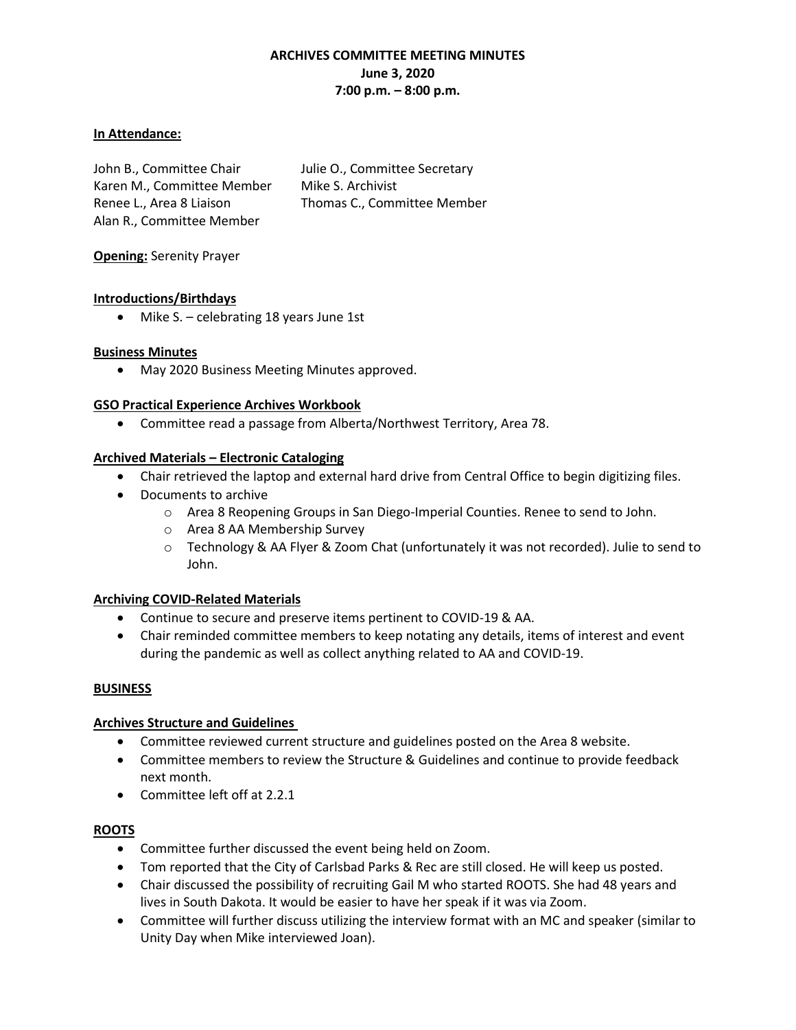# **ARCHIVES COMMITTEE MEETING MINUTES June 3, 2020 7:00 p.m. – 8:00 p.m.**

#### **In Attendance:**

John B., Committee Chair Julie O., Committee Secretary Karen M., Committee Member Mike S. Archivist Renee L., Area 8 Liaison Thomas C., Committee Member Alan R., Committee Member

**Opening:** Serenity Prayer

## **Introductions/Birthdays**

• Mike S. – celebrating 18 years June 1st

## **Business Minutes**

• May 2020 Business Meeting Minutes approved.

#### **GSO Practical Experience Archives Workbook**

• Committee read a passage from Alberta/Northwest Territory, Area 78.

## **Archived Materials – Electronic Cataloging**

- Chair retrieved the laptop and external hard drive from Central Office to begin digitizing files.
- Documents to archive
	- o Area 8 Reopening Groups in San Diego-Imperial Counties. Renee to send to John.
	- o Area 8 AA Membership Survey
	- o Technology & AA Flyer & Zoom Chat (unfortunately it was not recorded). Julie to send to John.

## **Archiving COVID-Related Materials**

- Continue to secure and preserve items pertinent to COVID-19 & AA.
- Chair reminded committee members to keep notating any details, items of interest and event during the pandemic as well as collect anything related to AA and COVID-19.

## **BUSINESS**

## **Archives Structure and Guidelines**

- Committee reviewed current structure and guidelines posted on the Area 8 website.
- Committee members to review the Structure & Guidelines and continue to provide feedback next month.
- Committee left off at 2.2.1

## **ROOTS**

- Committee further discussed the event being held on Zoom.
- Tom reported that the City of Carlsbad Parks & Rec are still closed. He will keep us posted.
- Chair discussed the possibility of recruiting Gail M who started ROOTS. She had 48 years and lives in South Dakota. It would be easier to have her speak if it was via Zoom.
- Committee will further discuss utilizing the interview format with an MC and speaker (similar to Unity Day when Mike interviewed Joan).